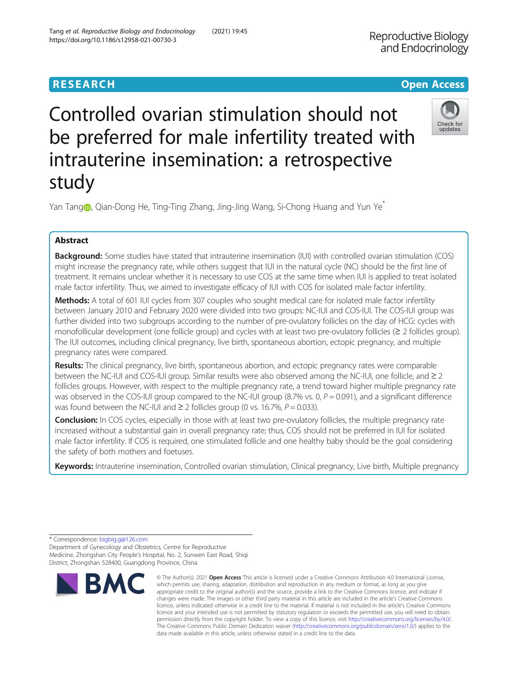## Check for undates

# Controlled ovarian stimulation should not be preferred for male infertility treated with intrauterine insemination: a retrospective study

Yan Tang [,](http://orcid.org/0000-0002-9969-7797) Qian-Dong He, Ting-Ting Zhang, Jing-Jing Wang, Si-Chong Huang and Yun Ye<sup>\*</sup>

## Abstract

Background: Some studies have stated that intrauterine insemination (IUI) with controlled ovarian stimulation (COS) might increase the pregnancy rate, while others suggest that IUI in the natural cycle (NC) should be the first line of treatment. It remains unclear whether it is necessary to use COS at the same time when IUI is applied to treat isolated male factor infertility. Thus, we aimed to investigate efficacy of IUI with COS for isolated male factor infertility.

Methods: A total of 601 IUI cycles from 307 couples who sought medical care for isolated male factor infertility between January 2010 and February 2020 were divided into two groups: NC-IUI and COS-IUI. The COS-IUI group was further divided into two subgroups according to the number of pre-ovulatory follicles on the day of HCG: cycles with monofollicular development (one follicle group) and cycles with at least two pre-ovulatory follicles (≥ 2 follicles group). The IUI outcomes, including clinical pregnancy, live birth, spontaneous abortion, ectopic pregnancy, and multiple pregnancy rates were compared.

Results: The clinical pregnancy, live birth, spontaneous abortion, and ectopic pregnancy rates were comparable between the NC-IUI and COS-IUI group. Similar results were also observed among the NC-IUI, one follicle, and ≥ 2 follicles groups. However, with respect to the multiple pregnancy rate, a trend toward higher multiple pregnancy rate was observed in the COS-IUI group compared to the NC-IUI group (8.7% vs. 0,  $P = 0.091$ ), and a significant difference was found between the NC-IUI and  $\geq 2$  follicles group (0 vs. 16.7%,  $P = 0.033$ ).

**Conclusion:** In COS cycles, especially in those with at least two pre-ovulatory follicles, the multiple pregnancy rate increased without a substantial gain in overall pregnancy rate; thus, COS should not be preferred in IUI for isolated male factor infertility. If COS is required, one stimulated follicle and one healthy baby should be the goal considering the safety of both mothers and foetuses.

Keywords: Intrauterine insemination, Controlled ovarian stimulation, Clinical pregnancy, Live birth, Multiple pregnancy

\* Correspondence: [bigbig.g@126.com](mailto:bigbig.g@126.com)

Department of Gynecology and Obstetrics, Centre for Reproductive Medicine, Zhongshan City People's Hospital, No. 2, Sunwen East Road, Shiqi District, Zhongshan 528400, Guangdong Province, China



<sup>©</sup> The Author(s), 2021 **Open Access** This article is licensed under a Creative Commons Attribution 4.0 International License, which permits use, sharing, adaptation, distribution and reproduction in any medium or format, as long as you give appropriate credit to the original author(s) and the source, provide a link to the Creative Commons licence, and indicate if changes were made. The images or other third party material in this article are included in the article's Creative Commons licence, unless indicated otherwise in a credit line to the material. If material is not included in the article's Creative Commons licence and your intended use is not permitted by statutory regulation or exceeds the permitted use, you will need to obtain permission directly from the copyright holder. To view a copy of this licence, visit [http://creativecommons.org/licenses/by/4.0/.](http://creativecommons.org/licenses/by/4.0/) The Creative Commons Public Domain Dedication waiver [\(http://creativecommons.org/publicdomain/zero/1.0/](http://creativecommons.org/publicdomain/zero/1.0/)) applies to the data made available in this article, unless otherwise stated in a credit line to the data.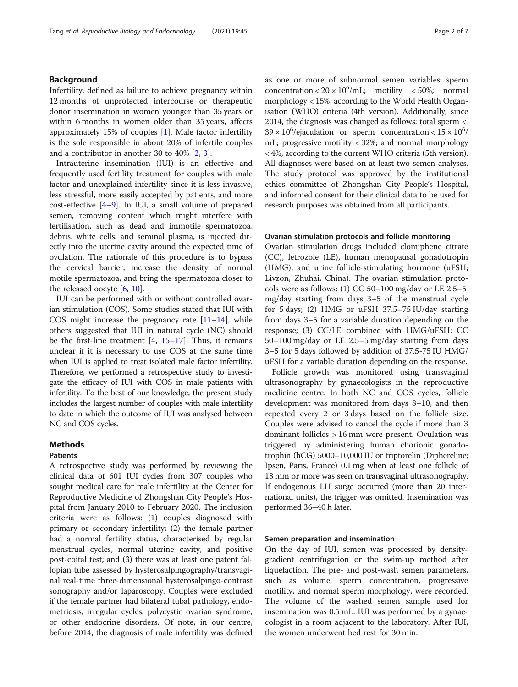### Background

Infertility, defined as failure to achieve pregnancy within 12 months of unprotected intercourse or therapeutic donor insemination in women younger than 35 years or within 6 months in women older than 35 years, affects approximately 15% of couples [[1\]](#page-6-0). Male factor infertility is the sole responsible in about 20% of infertile couples and a contributor in another 30 to 40% [[2,](#page-6-0) [3\]](#page-6-0).

Intrauterine insemination (IUI) is an effective and frequently used fertility treatment for couples with male factor and unexplained infertility since it is less invasive, less stressful, more easily accepted by patients, and more cost-effective [\[4](#page-6-0)–[9](#page-6-0)]. In IUI, a small volume of prepared semen, removing content which might interfere with fertilisation, such as dead and immotile spermatozoa, debris, white cells, and seminal plasma, is injected directly into the uterine cavity around the expected time of ovulation. The rationale of this procedure is to bypass the cervical barrier, increase the density of normal motile spermatozoa, and bring the spermatozoa closer to the released oocyte [[6,](#page-6-0) [10\]](#page-6-0).

IUI can be performed with or without controlled ovarian stimulation (COS). Some studies stated that IUI with COS might increase the pregnancy rate  $[11-14]$  $[11-14]$  $[11-14]$  $[11-14]$  $[11-14]$ , while others suggested that IUI in natural cycle (NC) should be the first-line treatment  $[4, 15-17]$  $[4, 15-17]$  $[4, 15-17]$  $[4, 15-17]$  $[4, 15-17]$  $[4, 15-17]$ . Thus, it remains unclear if it is necessary to use COS at the same time when IUI is applied to treat isolated male factor infertility. Therefore, we performed a retrospective study to investigate the efficacy of IUI with COS in male patients with infertility. To the best of our knowledge, the present study includes the largest number of couples with male infertility to date in which the outcome of IUI was analysed between NC and COS cycles.

### **Methods**

#### Patients

A retrospective study was performed by reviewing the clinical data of 601 IUI cycles from 307 couples who sought medical care for male infertility at the Center for Reproductive Medicine of Zhongshan City People's Hospital from January 2010 to February 2020. The inclusion criteria were as follows: (1) couples diagnosed with primary or secondary infertility; (2) the female partner had a normal fertility status, characterised by regular menstrual cycles, normal uterine cavity, and positive post-coital test; and (3) there was at least one patent fallopian tube assessed by hysterosalpingography/transvaginal real-time three-dimensional hysterosalpingo-contrast sonography and/or laparoscopy. Couples were excluded if the female partner had bilateral tubal pathology, endometriosis, irregular cycles, polycystic ovarian syndrome, or other endocrine disorders. Of note, in our centre, before 2014, the diagnosis of male infertility was defined as one or more of subnormal semen variables: sperm concentration <  $20 \times 10^6$ /mL; motility < 50%; normal morphology < 15%, according to the World Health Organisation (WHO) criteria (4th version). Additionally, since 2014, the diagnosis was changed as follows: total sperm <  $39 \times 10^6$ /ejaculation or sperm concentration <  $15 \times 10^6$ / mL; progressive motility < 32%; and normal morphology < 4%, according to the current WHO criteria (5th version). All diagnoses were based on at least two semen analyses. The study protocol was approved by the institutional ethics committee of Zhongshan City People's Hospital, and informed consent for their clinical data to be used for research purposes was obtained from all participants.

#### Ovarian stimulation protocols and follicle monitoring

Ovarian stimulation drugs included clomiphene citrate (CC), letrozole (LE), human menopausal gonadotropin (HMG), and urine follicle-stimulating hormone (uFSH; Livzon, Zhuhai, China). The ovarian stimulation protocols were as follows: (1) CC 50–100 mg/day or LE 2.5–5 mg/day starting from days 3–5 of the menstrual cycle for 5 days; (2) HMG or uFSH 37.5–75 IU/day starting from days 3–5 for a variable duration depending on the response; (3) CC/LE combined with HMG/uFSH: CC 50–100 mg/day or LE 2.5–5 mg/day starting from days 3–5 for 5 days followed by addition of 37.5-75 IU HMG/ uFSH for a variable duration depending on the response.

Follicle growth was monitored using transvaginal ultrasonography by gynaecologists in the reproductive medicine centre. In both NC and COS cycles, follicle development was monitored from days 8–10, and then repeated every 2 or 3 days based on the follicle size. Couples were advised to cancel the cycle if more than 3 dominant follicles > 16 mm were present. Ovulation was triggered by administering human chorionic gonadotrophin (hCG) 5000–10,000 IU or triptorelin (Diphereline; Ipsen, Paris, France) 0.1 mg when at least one follicle of 18 mm or more was seen on transvaginal ultrasonography. If endogenous LH surge occurred (more than 20 international units), the trigger was omitted. Insemination was performed 36–40 h later.

#### Semen preparation and insemination

On the day of IUI, semen was processed by densitygradient centrifugation or the swim-up method after liquefaction. The pre- and post-wash semen parameters, such as volume, sperm concentration, progressive motility, and normal sperm morphology, were recorded. The volume of the washed semen sample used for insemination was 0.5 mL. IUI was performed by a gynaecologist in a room adjacent to the laboratory. After IUI, the women underwent bed rest for 30 min.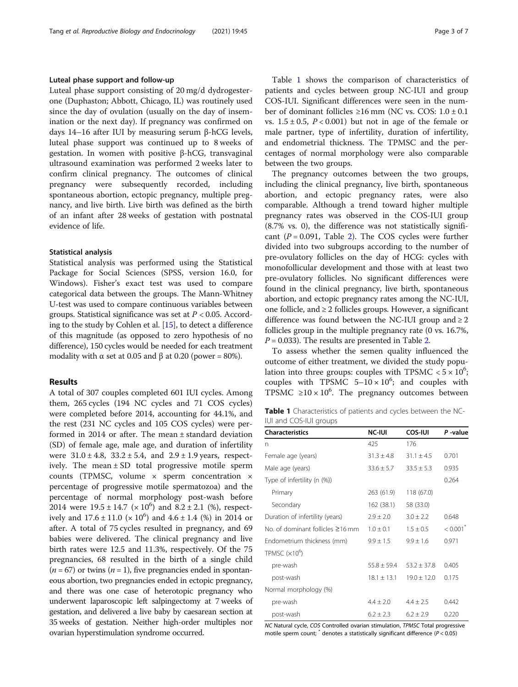#### Luteal phase support and follow-up

Luteal phase support consisting of 20 mg/d dydrogesterone (Duphaston; Abbott, Chicago, IL) was routinely used since the day of ovulation (usually on the day of insemination or the next day). If pregnancy was confirmed on days 14–16 after IUI by measuring serum β-hCG levels, luteal phase support was continued up to 8 weeks of gestation. In women with positive β-hCG, transvaginal ultrasound examination was performed 2 weeks later to confirm clinical pregnancy. The outcomes of clinical pregnancy were subsequently recorded, including spontaneous abortion, ectopic pregnancy, multiple pregnancy, and live birth. Live birth was defined as the birth of an infant after 28 weeks of gestation with postnatal evidence of life.

#### Statistical analysis

Statistical analysis was performed using the Statistical Package for Social Sciences (SPSS, version 16.0, for Windows). Fisher's exact test was used to compare categorical data between the groups. The Mann-Whitney U-test was used to compare continuous variables between groups. Statistical significance was set at  $P < 0.05$ . According to the study by Cohlen et al. [\[15](#page-6-0)], to detect a difference of this magnitude (as opposed to zero hypothesis of no difference), 150 cycles would be needed for each treatment modality with  $\alpha$  set at 0.05 and  $\beta$  at 0.20 (power = 80%).

#### Results

A total of 307 couples completed 601 IUI cycles. Among them, 265 cycles (194 NC cycles and 71 COS cycles) were completed before 2014, accounting for 44.1%, and the rest (231 NC cycles and 105 COS cycles) were performed in 2014 or after. The mean ± standard deviation (SD) of female age, male age, and duration of infertility were  $31.0 \pm 4.8$ ,  $33.2 \pm 5.4$ , and  $2.9 \pm 1.9$  years, respectively. The mean ± SD total progressive motile sperm counts (TPMSC, volume × sperm concentration × percentage of progressive motile spermatozoa) and the percentage of normal morphology post-wash before 2014 were  $19.5 \pm 14.7 \times 10^6$  and  $8.2 \pm 2.1 \text{ } (\%)$ , respectively and  $17.6 \pm 11.0 \times 10^6$ ) and  $4.6 \pm 1.4$  (%) in 2014 or after. A total of 75 cycles resulted in pregnancy, and 69 babies were delivered. The clinical pregnancy and live birth rates were 12.5 and 11.3%, respectively. Of the 75 pregnancies, 68 resulted in the birth of a single child  $(n = 67)$  or twins  $(n = 1)$ , five pregnancies ended in spontaneous abortion, two pregnancies ended in ectopic pregnancy, and there was one case of heterotopic pregnancy who underwent laparoscopic left salpingectomy at 7 weeks of gestation, and delivered a live baby by caesarean section at 35 weeks of gestation. Neither high-order multiples nor ovarian hyperstimulation syndrome occurred.

Table 1 shows the comparison of characteristics of patients and cycles between group NC-IUI and group COS-IUI. Significant differences were seen in the number of dominant follicles ≥16 mm (NC vs. COS:  $1.0 \pm 0.1$ vs.  $1.5 \pm 0.5$ ,  $P < 0.001$ ) but not in age of the female or male partner, type of infertility, duration of infertility, and endometrial thickness. The TPMSC and the percentages of normal morphology were also comparable between the two groups.

The pregnancy outcomes between the two groups, including the clinical pregnancy, live birth, spontaneous abortion, and ectopic pregnancy rates, were also comparable. Although a trend toward higher multiple pregnancy rates was observed in the COS-IUI group (8.7% vs. 0), the difference was not statistically significant ( $P = 0.091$ , Table [2\)](#page-3-0). The COS cycles were further divided into two subgroups according to the number of pre-ovulatory follicles on the day of HCG: cycles with monofollicular development and those with at least two pre-ovulatory follicles. No significant differences were found in the clinical pregnancy, live birth, spontaneous abortion, and ectopic pregnancy rates among the NC-IUI, one follicle, and  $\geq 2$  follicles groups. However, a significant difference was found between the NC-IUI group and  $\geq 2$ follicles group in the multiple pregnancy rate (0 vs. 16.7%,  $P = 0.033$ ). The results are presented in Table [2.](#page-3-0)

To assess whether the semen quality influenced the outcome of either treatment, we divided the study population into three groups: couples with TPSMC  $< 5 \times 10^6$ ; couples with TPSMC  $5-10 \times 10^6$ ; and couples with TPSMC  $\geq 10 \times 10^6$ . The pregnancy outcomes between

| Table 1 Characteristics of patients and cycles between the NC- |  |  |
|----------------------------------------------------------------|--|--|
| IUI and COS-IUI groups                                         |  |  |

| <b>Characteristics</b>                 | <b>NC-IUI</b>   | <b>COS-IUI</b>  | P-value                |
|----------------------------------------|-----------------|-----------------|------------------------|
| n                                      | 425             | 176             |                        |
| Female age (years)                     | $31.3 \pm 4.8$  | $31.1 + 4.5$    | 0.701                  |
| Male age (years)                       | $33.6 \pm 5.7$  | $33.5 \pm 5.3$  | 0.935                  |
| Type of infertility (n (%))            |                 |                 | 0.264                  |
| Primary                                | 263 (61.9)      | 118 (67.0)      |                        |
| Secondary                              | 162(38.1)       | 58 (33.0)       |                        |
| Duration of infertility (years)        | $2.9 \pm 2.0$   | $3.0 \pm 2.2$   | 0.648                  |
| No. of dominant follicles $\geq$ 16 mm | $1.0 \pm 0.1$   | $1.5 \pm 0.5$   | $< 0.001$ <sup>*</sup> |
| Endometrium thickness (mm)             | $9.9 \pm 1.5$   | $9.9 \pm 1.6$   | 0.971                  |
| TPMSC $(x10^6)$                        |                 |                 |                        |
| pre-wash                               | $55.8 \pm 59.4$ | $53.2 \pm 37.8$ | 0.405                  |
| post-wash                              | $18.1 \pm 13.1$ | $19.0 \pm 12.0$ | 0.175                  |
| Normal morphology (%)                  |                 |                 |                        |
| pre-wash                               | $4.4 \pm 2.0$   | $4.4 \pm 2.5$   | 0.442                  |
| post-wash                              | $6.2 \pm 2.3$   | $6.2 \pm 2.9$   | 0.220                  |

NC Natural cycle, COS Controlled ovarian stimulation, TPMSC Total progressive motile sperm count;  $*$  denotes a statistically significant difference ( $P < 0.05$ )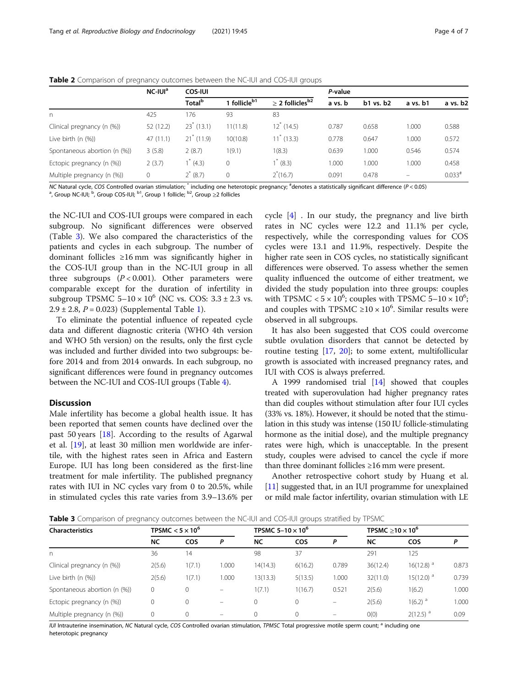<span id="page-3-0"></span>

| Table 2 Comparison of pregnancy outcomes between the NC-IUI and COS-IUI groups |  |  |  |  |  |  |  |
|--------------------------------------------------------------------------------|--|--|--|--|--|--|--|
|--------------------------------------------------------------------------------|--|--|--|--|--|--|--|

|                              | NC-IUI <sup>a</sup> | <b>COS-IUI</b>      |                          |                                  | P-value |           |          |          |
|------------------------------|---------------------|---------------------|--------------------------|----------------------------------|---------|-----------|----------|----------|
|                              |                     | Total <sup>b</sup>  | 1 follicle <sup>b1</sup> | $\geq$ 2 follicles <sup>b2</sup> | a vs. b | b1 vs. b2 | a vs. b1 | a vs. b2 |
| $\Gamma$                     | 425                 | 176                 | 93                       | 83                               |         |           |          |          |
| Clinical pregnancy (n (%))   | 52 (12.2)           | $23^{\circ}$ (13.1) | 11(11.8)                 | $12^{\degree}$ (14.5)            | 0.787   | 0.658     | 1.000    | 0.588    |
| Live birth (n (%))           | 47 (11.1)           | $21^*$ (11.9)       | 10(10.8)                 | $11^{\degree}$ (13.3)            | 0.778   | 0.647     | 1.000    | 0.572    |
| Spontaneous abortion (n (%)) | 3(5.8)              | 2(8.7)              | 1(9.1)                   | 1(8.3)                           | 0.639   | 1.000     | 0.546    | 0.574    |
| Ectopic pregnancy (n (%))    | 2(3.7)              | $1^*(4.3)$          | 0                        | $1^*$ (8.3)                      | 1.000   | 1.000     | 1.000    | 0.458    |
| Multiple pregnancy (n (%))   | $\mathbf 0$         | $2^{*}$ (8.7)       | $\Omega$                 | $2*(16.7)$                       | 0.091   | 0.478     | $\equiv$ | $0.033*$ |

NC Natural cycle, COS Controlled ovarian stimulation; <sup>\*</sup> including one heterotopic pregnancy; <sup>#</sup>denotes a statistically significant difference (P<0.05)<br><sup>a</sup> Group NC-ILII: <sup>b</sup> Group COS-ILII: <sup>b1</sup> Group 1 follicle: <sup>b2</sup> G

, Group NC-IUI; <sup>b</sup>, Group COS-IUI; <sup>b1</sup>, Group 1 follicle; <sup>b2</sup>, Group ≥2 follicles

the NC-IUI and COS-IUI groups were compared in each subgroup. No significant differences were observed (Table 3). We also compared the characteristics of the patients and cycles in each subgroup. The number of dominant follicles ≥16 mm was significantly higher in the COS-IUI group than in the NC-IUI group in all three subgroups  $(P < 0.001)$ . Other parameters were comparable except for the duration of infertility in subgroup TPSMC  $5-10 \times 10^6$  (NC vs. COS:  $3.3 \pm 2.3$  vs.  $2.9 \pm 2.8$ ,  $P = 0.023$ ) (Supplemental Table [1](#page-5-0)).

To eliminate the potential influence of repeated cycle data and different diagnostic criteria (WHO 4th version and WHO 5th version) on the results, only the first cycle was included and further divided into two subgroups: before 2014 and from 2014 onwards. In each subgroup, no significant differences were found in pregnancy outcomes between the NC-IUI and COS-IUI groups (Table [4](#page-4-0)).

#### **Discussion**

Male infertility has become a global health issue. It has been reported that semen counts have declined over the past 50 years [[18](#page-6-0)]. According to the results of Agarwal et al. [\[19](#page-6-0)], at least 30 million men worldwide are infertile, with the highest rates seen in Africa and Eastern Europe. IUI has long been considered as the first-line treatment for male infertility. The published pregnancy rates with IUI in NC cycles vary from 0 to 20.5%, while in stimulated cycles this rate varies from 3.9–13.6% per

cycle [[4\]](#page-6-0) . In our study, the pregnancy and live birth rates in NC cycles were 12.2 and 11.1% per cycle, respectively, while the corresponding values for COS cycles were 13.1 and 11.9%, respectively. Despite the higher rate seen in COS cycles, no statistically significant differences were observed. To assess whether the semen quality influenced the outcome of either treatment, we divided the study population into three groups: couples with TPSMC <  $5 \times 10^6$ ; couples with TPSMC  $5-10 \times 10^6$ ; and couples with TPSMC  $\geq 10 \times 10^6$ . Similar results were observed in all subgroups.

It has also been suggested that COS could overcome subtle ovulation disorders that cannot be detected by routine testing [[17,](#page-6-0) [20](#page-6-0)]; to some extent, multifollicular growth is associated with increased pregnancy rates, and IUI with COS is always preferred.

A 1999 randomised trial [[14](#page-6-0)] showed that couples treated with superovulation had higher pregnancy rates than did couples without stimulation after four IUI cycles (33% vs. 18%). However, it should be noted that the stimulation in this study was intense (150 IU follicle-stimulating hormone as the initial dose), and the multiple pregnancy rates were high, which is unacceptable. In the present study, couples were advised to cancel the cycle if more than three dominant follicles ≥16 mm were present.

Another retrospective cohort study by Huang et al. [[11](#page-6-0)] suggested that, in an IUI programme for unexplained or mild male factor infertility, ovarian stimulation with LE

Table 3 Comparison of pregnancy outcomes between the NC-IUI and COS-IUI groups stratified by TPSMC

| <b>Characteristics</b>       |        | TPSMC $<$ 5 $\times$ 10 $^{\rm o}$ |       |           | TPSMC 5-10 $\times$ 10 <sup>6</sup> |       |           | TPSMC $\geq$ 10 $\times$ 10 <sup>6</sup> |       |
|------------------------------|--------|------------------------------------|-------|-----------|-------------------------------------|-------|-----------|------------------------------------------|-------|
|                              | NC     | <b>COS</b>                         | P     | <b>NC</b> | <b>COS</b>                          | P     | <b>NC</b> | <b>COS</b>                               |       |
| n                            | 36     | 14                                 |       | 98        | 37                                  |       | 291       | 125                                      |       |
| Clinical pregnancy (n (%))   | 2(5.6) | 1(7.1)                             | 1.000 | 14(14.3)  | 6(16.2)                             | 0.789 | 36(12.4)  | $16(12.8)$ <sup>a</sup>                  | 0.873 |
| Live birth $(n \ (\%))$      | 2(5.6) | 1(7.1)                             | 1.000 | 13(13.3)  | 5(13.5)                             | 1.000 | 32(11.0)  | $15(12.0)$ <sup>a</sup>                  | 0.739 |
| Spontaneous abortion (n (%)) | 0      | 0                                  |       | 1(7.1)    | 1(16.7)                             | 0.521 | 2(5.6)    | 1(6.2)                                   | 1.000 |
| Ectopic pregnancy (n (%))    | 0      | $\Omega$                           |       |           | 0                                   |       | 2(5.6)    | $1(6.2)$ <sup>a</sup>                    | 1.000 |
| Multiple pregnancy (n (%))   | 0      |                                    |       |           | $\Omega$                            |       | O(0)      | $2(12.5)$ <sup>a</sup>                   | 0.09  |

IUI Intrauterine insemination, NC Natural cycle, COS Controlled ovarian stimulation, TPMSC Total progressive motile sperm count; <sup>a</sup> including one heterotopic pregnancy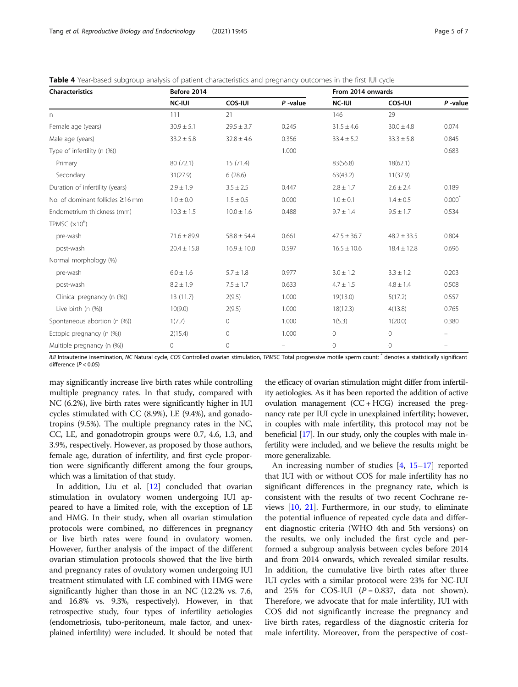<span id="page-4-0"></span>

| <b>Table 4</b> Year-based subgroup analysis of patient characteristics and pregnancy outcomes in the first IUI cycle |  |  |  |
|----------------------------------------------------------------------------------------------------------------------|--|--|--|
|                                                                                                                      |  |  |  |

| <b>Characteristics</b>           | Before 2014     |                 |            | From 2014 onwards |                 |            |
|----------------------------------|-----------------|-----------------|------------|-------------------|-----------------|------------|
|                                  | <b>NC-IUI</b>   | <b>COS-IUI</b>  | $P$ -value | <b>NC-IUI</b>     | <b>COS-IUI</b>  | $P$ -value |
| $\mathsf{n}$                     | 111             | 21              |            | 146               | 29              |            |
| Female age (years)               | $30.9 \pm 5.1$  | $29.5 \pm 3.7$  | 0.245      | $31.5 \pm 4.6$    | $30.0 \pm 4.8$  | 0.074      |
| Male age (years)                 | $33.2 \pm 5.8$  | $32.8 \pm 4.6$  | 0.356      | $33.4 \pm 5.2$    | $33.3 \pm 5.8$  | 0.845      |
| Type of infertility (n (%))      |                 |                 | 1.000      |                   |                 | 0.683      |
| Primary                          | 80 (72.1)       | 15(71.4)        |            | 83(56.8)          | 18(62.1)        |            |
| Secondary                        | 31(27.9)        | 6(28.6)         |            | 63(43.2)          | 11(37.9)        |            |
| Duration of infertility (years)  | $2.9 \pm 1.9$   | $3.5 \pm 2.5$   | 0.447      | $2.8 \pm 1.7$     | $2.6 \pm 2.4$   | 0.189      |
| No. of dominant follicles ≥16 mm | $1.0 \pm 0.0$   | $1.5 \pm 0.5$   | 0.000      | $1.0 \pm 0.1$     | $1.4 \pm 0.5$   | $0.000^*$  |
| Endometrium thickness (mm)       | $10.3 \pm 1.5$  | $10.0 \pm 1.6$  | 0.488      | $9.7 \pm 1.4$     | $9.5 \pm 1.7$   | 0.534      |
| TPMSC $(x10^6)$                  |                 |                 |            |                   |                 |            |
| pre-wash                         | $71.6 \pm 89.9$ | $58.8 \pm 54.4$ | 0.661      | $47.5 \pm 36.7$   | $48.2 \pm 33.5$ | 0.804      |
| post-wash                        | $20.4 \pm 15.8$ | $16.9 \pm 10.0$ | 0.597      | $16.5 \pm 10.6$   | $18.4 \pm 12.8$ | 0.696      |
| Normal morphology (%)            |                 |                 |            |                   |                 |            |
| pre-wash                         | $6.0 \pm 1.6$   | $5.7 \pm 1.8$   | 0.977      | $3.0 \pm 1.2$     | $3.3 \pm 1.2$   | 0.203      |
| post-wash                        | $8.2 \pm 1.9$   | $7.5 \pm 1.7$   | 0.633      | $4.7 \pm 1.5$     | $4.8 \pm 1.4$   | 0.508      |
| Clinical pregnancy (n (%))       | 13(11.7)        | 2(9.5)          | 1.000      | 19(13.0)          | 5(17.2)         | 0.557      |
| Live birth (n (%))               | 10(9.0)         | 2(9.5)          | 1.000      | 18(12.3)          | 4(13.8)         | 0.765      |
| Spontaneous abortion (n (%))     | 1(7.7)          | $\circ$         | 1.000      | 1(5.3)            | 1(20.0)         | 0.380      |
| Ectopic pregnancy (n (%))        | 2(15.4)         | $\circ$         | 1.000      | $\circ$           | $\mathbf{0}$    |            |
| Multiple pregnancy (n (%))       | 0               | $\circ$         |            | $\mathbf{0}$      | $\mathbf{0}$    |            |

IUI Intrauterine insemination, NC Natural cycle, COS Controlled ovarian stimulation, TPMSC Total progressive motile sperm count; <sup>\*</sup> denotes a statistically significant difference (P < 0.05)

may significantly increase live birth rates while controlling multiple pregnancy rates. In that study, compared with NC (6.2%), live birth rates were significantly higher in IUI cycles stimulated with CC (8.9%), LE (9.4%), and gonadotropins (9.5%). The multiple pregnancy rates in the NC, CC, LE, and gonadotropin groups were 0.7, 4.6, 1.3, and 3.9%, respectively. However, as proposed by those authors, female age, duration of infertility, and first cycle proportion were significantly different among the four groups, which was a limitation of that study.

In addition, Liu et al. [[12\]](#page-6-0) concluded that ovarian stimulation in ovulatory women undergoing IUI appeared to have a limited role, with the exception of LE and HMG. In their study, when all ovarian stimulation protocols were combined, no differences in pregnancy or live birth rates were found in ovulatory women. However, further analysis of the impact of the different ovarian stimulation protocols showed that the live birth and pregnancy rates of ovulatory women undergoing IUI treatment stimulated with LE combined with HMG were significantly higher than those in an NC (12.2% vs. 7.6, and 16.8% vs. 9.3%, respectively). However, in that retrospective study, four types of infertility aetiologies (endometriosis, tubo-peritoneum, male factor, and unexplained infertility) were included. It should be noted that

the efficacy of ovarian stimulation might differ from infertility aetiologies. As it has been reported the addition of active ovulation management  $(CC + HCG)$  increased the pregnancy rate per IUI cycle in unexplained infertility; however, in couples with male infertility, this protocol may not be beneficial [\[17\]](#page-6-0). In our study, only the couples with male infertility were included, and we believe the results might be more generalizable.

An increasing number of studies [\[4](#page-6-0), [15](#page-6-0)–[17](#page-6-0)] reported that IUI with or without COS for male infertility has no significant differences in the pregnancy rate, which is consistent with the results of two recent Cochrane reviews [\[10](#page-6-0), [21\]](#page-6-0). Furthermore, in our study, to eliminate the potential influence of repeated cycle data and different diagnostic criteria (WHO 4th and 5th versions) on the results, we only included the first cycle and performed a subgroup analysis between cycles before 2014 and from 2014 onwards, which revealed similar results. In addition, the cumulative live birth rates after three IUI cycles with a similar protocol were 23% for NC-IUI and 25% for COS-IUI  $(P = 0.837, \text{ data not shown}).$ Therefore, we advocate that for male infertility, IUI with COS did not significantly increase the pregnancy and live birth rates, regardless of the diagnostic criteria for male infertility. Moreover, from the perspective of cost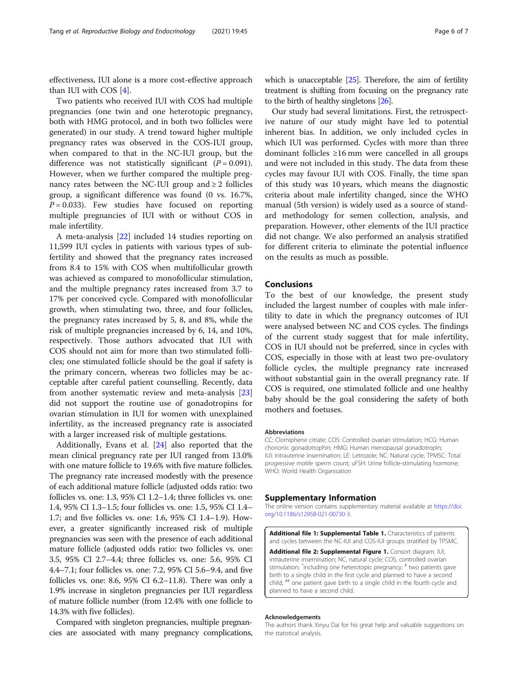<span id="page-5-0"></span>effectiveness, IUI alone is a more cost-effective approach than IUI with COS [[4\]](#page-6-0).

Two patients who received IUI with COS had multiple pregnancies (one twin and one heterotopic pregnancy, both with HMG protocol, and in both two follicles were generated) in our study. A trend toward higher multiple pregnancy rates was observed in the COS-IUI group, when compared to that in the NC-IUI group, but the difference was not statistically significant  $(P = 0.091)$ . However, when we further compared the multiple pregnancy rates between the NC-IUI group and  $\geq 2$  follicles group, a significant difference was found (0 vs. 16.7%,  $P = 0.033$ ). Few studies have focused on reporting multiple pregnancies of IUI with or without COS in male infertility.

A meta-analysis [\[22](#page-6-0)] included 14 studies reporting on 11,599 IUI cycles in patients with various types of subfertility and showed that the pregnancy rates increased from 8.4 to 15% with COS when multifollicular growth was achieved as compared to monofollicular stimulation, and the multiple pregnancy rates increased from 3.7 to 17% per conceived cycle. Compared with monofollicular growth, when stimulating two, three, and four follicles, the pregnancy rates increased by 5, 8, and 8%, while the risk of multiple pregnancies increased by 6, 14, and 10%, respectively. Those authors advocated that IUI with COS should not aim for more than two stimulated follicles; one stimulated follicle should be the goal if safety is the primary concern, whereas two follicles may be acceptable after careful patient counselling. Recently, data from another systematic review and meta-analysis [[23](#page-6-0)] did not support the routine use of gonadotropins for ovarian stimulation in IUI for women with unexplained infertility, as the increased pregnancy rate is associated with a larger increased risk of multiple gestations.

Additionally, Evans et al. [\[24\]](#page-6-0) also reported that the mean clinical pregnancy rate per IUI ranged from 13.0% with one mature follicle to 19.6% with five mature follicles. The pregnancy rate increased modestly with the presence of each additional mature follicle (adjusted odds ratio: two follicles vs. one: 1.3, 95% CI 1.2–1.4; three follicles vs. one: 1.4, 95% CI 1.3–1.5; four follicles vs. one: 1.5, 95% CI 1.4– 1.7; and five follicles vs. one: 1.6, 95% CI 1.4–1.9). However, a greater significantly increased risk of multiple pregnancies was seen with the presence of each additional mature follicle (adjusted odds ratio: two follicles vs. one: 3.5, 95% CI 2.7–4.4; three follicles vs. one: 5.6, 95% CI 4.4–7.1; four follicles vs. one: 7.2, 95% CI 5.6–9.4, and five follicles vs. one: 8.6, 95% CI 6.2–11.8). There was only a 1.9% increase in singleton pregnancies per IUI regardless of mature follicle number (from 12.4% with one follicle to 14.3% with five follicles).

Compared with singleton pregnancies, multiple pregnancies are associated with many pregnancy complications, which is unacceptable [\[25\]](#page-6-0). Therefore, the aim of fertility treatment is shifting from focusing on the pregnancy rate to the birth of healthy singletons [\[26\]](#page-6-0).

Our study had several limitations. First, the retrospective nature of our study might have led to potential inherent bias. In addition, we only included cycles in which IUI was performed. Cycles with more than three dominant follicles ≥16 mm were cancelled in all groups and were not included in this study. The data from these cycles may favour IUI with COS. Finally, the time span of this study was 10 years, which means the diagnostic criteria about male infertility changed, since the WHO manual (5th version) is widely used as a source of standard methodology for semen collection, analysis, and preparation. However, other elements of the IUI practice did not change. We also performed an analysis stratified for different criteria to eliminate the potential influence on the results as much as possible.

#### Conclusions

To the best of our knowledge, the present study included the largest number of couples with male infertility to date in which the pregnancy outcomes of IUI were analysed between NC and COS cycles. The findings of the current study suggest that for male infertility, COS in IUI should not be preferred, since in cycles with COS, especially in those with at least two pre-ovulatory follicle cycles, the multiple pregnancy rate increased without substantial gain in the overall pregnancy rate. If COS is required, one stimulated follicle and one healthy baby should be the goal considering the safety of both mothers and foetuses.

#### Abbreviations

CC: Clomiphene citrate; COS: Controlled ovarian stimulation; HCG: Human chorionic gonadotrophin; HMG: Human menopausal gonadotropin; IUI: Intrauterine insemination; LE: Letrozole; NC: Natural cycle; TPMSC: Total progressive motile sperm count; uFSH: Urine follicle-stimulating hormone; WHO: World Health Organisation

#### Supplementary Information

The online version contains supplementary material available at [https://doi.](https://doi.org/10.1186/s12958-021-00730-3) [org/10.1186/s12958-021-00730-3.](https://doi.org/10.1186/s12958-021-00730-3)

Additional file 1: Supplemental Table 1. Characteristics of patients and cycles between the NC-IUI and COS-IUI groups stratified by TPSMC.

Additional file 2: Supplemental Figure 1. Consort diagram. IUI, intrauterine insemination; NC, natural cycle; COS, controlled ovarian stimulation; <sup>\*</sup>including one heterotopic pregnancy; <sup>#</sup> two patients gave birth to a single child in the first cycle and planned to have a second child; ## one patient gave birth to a single child in the fourth cycle and planned to have a second child.

#### Acknowledgements

The authors thank Xinyu Dai for his great help and valuable suggestions on the statistical analysis.